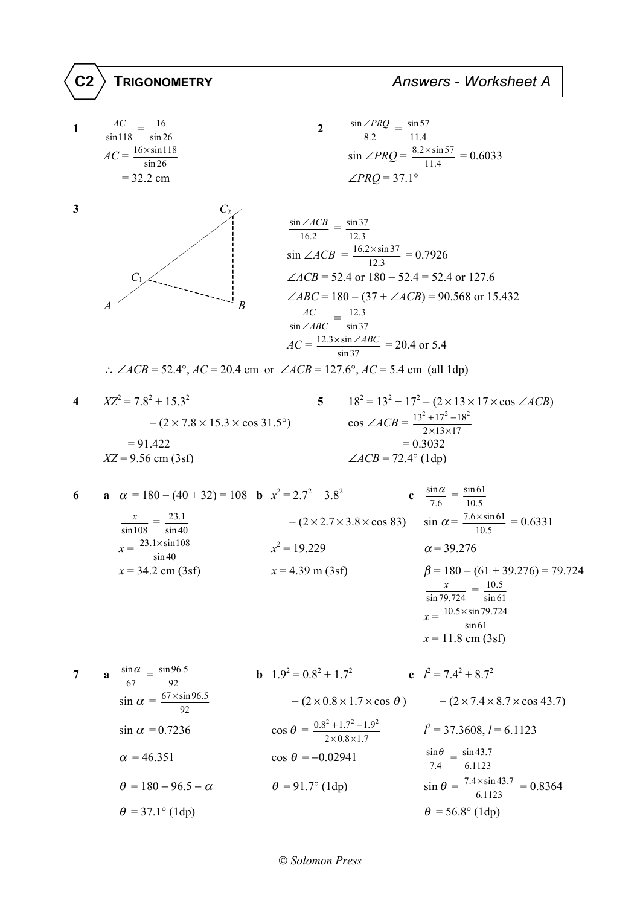C2

 $\frac{AC}{\sin 118} = \frac{16}{\sin 26}$  $\frac{\sin \angle PRQ}{8.2} = \frac{\sin 57}{11.4}$  $\overline{2}$  $\mathbf{1}$  $AC = \frac{16 \times \sin 118}{2}$  $\sin \angle PRQ = \frac{8.2 \times \sin 57}{11.4} = 0.6033$  $\sin 26$  $\angle PRO = 37.1^{\circ}$  $= 32.2$  cm  $\overline{\mathbf{3}}$  $C<sub>2</sub>$  $\frac{\sin \angle ACB}{16.2} = \frac{\sin 37}{12.3}$  $\sin \angle ACB = \frac{16.2 \times \sin 37}{12.3} = 0.7926$  $\angle ACB = 52.4$  or  $180 - 52.4 = 52.4$  or 127.6  $\overline{C}$  $\angle ABC = 180 - (37 + \angle ACB) = 90.568$  or 15.432  $\overline{R}$  $\frac{AC}{\sin \angle ABC} = \frac{12.3}{\sin 37}$  $AC = \frac{12.3 \times \sin \angle ABC}{\sin 37} = 20.4$  or 5.4 ..  $\angle ACB = 52.4^{\circ}$ ,  $AC = 20.4$  cm or  $\angle ACB = 127.6^{\circ}$ ,  $AC = 5.4$  cm (all 1dp)  $XZ^2 = 7.8^2 + 15.3^2$  $18^2 = 13^2 + 17^2 - (2 \times 13 \times 17 \times \cos \angle ACB)$  $5<sup>5</sup>$  $\overline{\mathbf{4}}$  $\cos \angle ACB = \frac{13^2 + 17^2 - 18^2}{2 \times 13 \times 17}$  $-(2 \times 7.8 \times 15.3 \times \cos 31.5^{\circ})$  $= 91.422$  $= 0.3032$  $\angle ACB = 72.4^{\circ}$  (1dp)  $XZ = 9.56$  cm (3sf) **c**  $\frac{\sin \alpha}{7.6} = \frac{\sin 61}{10.5}$ **a**  $\alpha = 180 - (40 + 32) = 108$  **b**  $x^2 = 2.7^2 + 3.8^2$ 6  $-(2 \times 2.7 \times 3.8 \times \cos 83)$   $\sin \alpha = \frac{7.6 \times \sin 61}{10.5} = 0.6331$  $\frac{x}{\sin 108} = \frac{23.1}{\sin 40}$  $x = \frac{23.1 \times \sin 108}{\sin 40}$  $x^2 = 19.229$  $\alpha$  = 39.276  $x = 34.2$  cm (3sf)  $x = 4.39$  m (3sf)  $\beta$  = 180 – (61 + 39.276) = 79.724  $\frac{x}{\sin 79.724} = \frac{10.5}{\sin 61}$  $x = \frac{10.5 \times \sin 79.724}{\sin 61}$  $x = 11.8$  cm (3sf) **a**  $\frac{\sin \alpha}{67} = \frac{\sin 96.5}{92}$ **b**  $1.9^2 = 0.8^2 + 1.7^2$  **c**  $l^2 = 7.4^2 + 8.7^2$  $\overline{7}$  $\sin \alpha = \frac{67 \times \sin 96.5}{92}$  $-(2\times0.8\times1.7\times\cos\theta)$   $-(2\times7.4\times8.7\times\cos 43.7)$  $\cos \theta = \frac{0.8^2 + 1.7^2 - 1.9^2}{2 \times 0.8 \times 1.7}$  $l^2 = 37.3608, l = 6.1123$  $\sin \alpha = 0.7236$  $\frac{\sin \theta}{7.4} = \frac{\sin 43.7}{6.1123}$  $\alpha = 46.351$  $\cos \theta = -0.02941$  $\sin \theta = \frac{7.4 \times \sin 43.7}{6.1123} = 0.8364$  $\theta = 180 - 96.5 - \alpha$  $\theta = 91.7^{\circ}$  (1dp)  $\theta = 37.1^{\circ}$  (1dp)  $\theta$  = 56.8° (1dp)